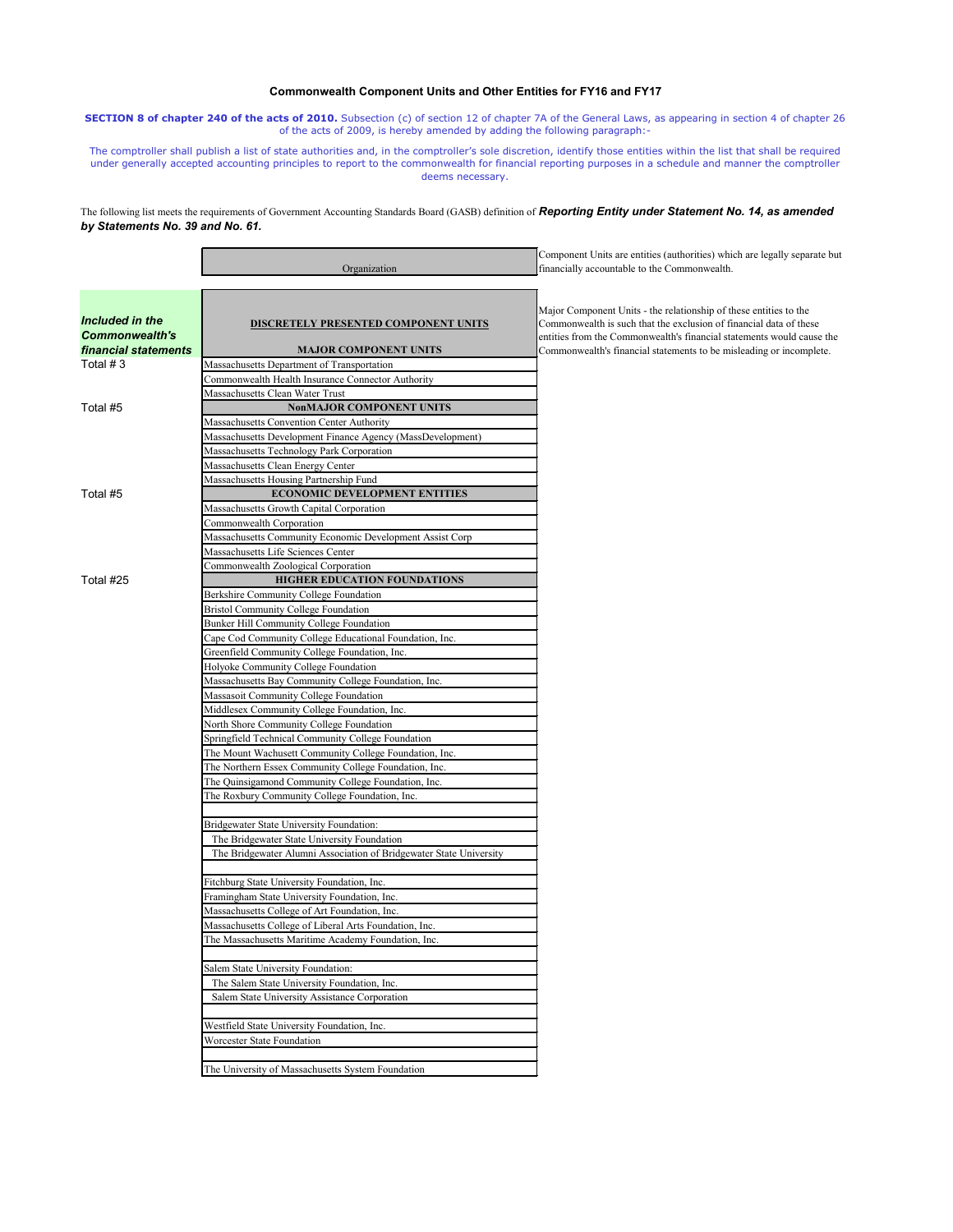## **Commonwealth Component Units and Other Entities for FY16 and FY17**

**SECTION 8 of chapter 240 of the acts of 2010.** Subsection (c) of section 12 of chapter 7A of the General Laws, as appearing in section 4 of chapter 26 of the acts of 2009, is hereby amended by adding the following paragraph:-

The comptroller shall publish a list of state authorities and, in the comptroller's sole discretion, identify those entities within the list that shall be required under generally accepted accounting principles to report to the commonwealth for financial reporting purposes in a schedule and manner the comptroller deems necessary.

The following list meets the requirements of Government Accounting Standards Board (GASB) definition of *Reporting Entity under Statement No. 14, as amended by Statements No. 39 and No. 61.*

| Major Component Units - the relationship of these entities to the<br>Included in the<br>Commonwealth is such that the exclusion of financial data of these<br>DISCRETELY PRESENTED COMPONENT UNITS<br><b>Commonwealth's</b><br>entities from the Commonwealth's financial statements would cause the<br>financial statements<br><b>MAJOR COMPONENT UNITS</b><br>Commonwealth's financial statements to be misleading or incomplete.<br>Total $# 3$<br>Massachusetts Department of Transportation<br>Commonwealth Health Insurance Connector Authority<br>Massachusetts Clean Water Trust<br>Total #5<br><b>NonMAJOR COMPONENT UNITS</b><br>Massachusetts Convention Center Authority<br>Massachusetts Development Finance Agency (MassDevelopment)<br>Massachusetts Technology Park Corporation<br>Massachusetts Clean Energy Center<br>Massachusetts Housing Partnership Fund<br>Total #5<br><b>ECONOMIC DEVELOPMENT ENTITIES</b><br>Massachusetts Growth Capital Corporation<br>Commonwealth Corporation<br>Massachusetts Community Economic Development Assist Corp<br>Massachusetts Life Sciences Center<br>Commonwealth Zoological Corporation<br>Total #25<br><b>HIGHER EDUCATION FOUNDATIONS</b><br>Berkshire Community College Foundation<br><b>Bristol Community College Foundation</b><br><b>Bunker Hill Community College Foundation</b><br>Cape Cod Community College Educational Foundation, Inc.<br>Greenfield Community College Foundation, Inc.<br>Holyoke Community College Foundation<br>Massachusetts Bay Community College Foundation, Inc.<br>Massasoit Community College Foundation<br>Middlesex Community College Foundation, Inc.<br>North Shore Community College Foundation<br>Springfield Technical Community College Foundation<br>The Mount Wachusett Community College Foundation, Inc.<br>The Northern Essex Community College Foundation, Inc.<br>The Quinsigamond Community College Foundation, Inc.<br>The Roxbury Community College Foundation, Inc.<br><b>Bridgewater State University Foundation:</b><br>The Bridgewater State University Foundation<br>The Bridgewater Alumni Association of Bridgewater State University<br>Fitchburg State University Foundation, Inc.<br>Framingham State University Foundation, Inc.<br>Massachusetts College of Art Foundation, Inc.<br>Massachusetts College of Liberal Arts Foundation, Inc.<br>The Massachusetts Maritime Academy Foundation, Inc.<br>Salem State University Foundation:<br>The Salem State University Foundation, Inc.<br>Salem State University Assistance Corporation | Organization | Component Units are entities (authorities) which are legally separate but<br>financially accountable to the Commonwealth. |
|------------------------------------------------------------------------------------------------------------------------------------------------------------------------------------------------------------------------------------------------------------------------------------------------------------------------------------------------------------------------------------------------------------------------------------------------------------------------------------------------------------------------------------------------------------------------------------------------------------------------------------------------------------------------------------------------------------------------------------------------------------------------------------------------------------------------------------------------------------------------------------------------------------------------------------------------------------------------------------------------------------------------------------------------------------------------------------------------------------------------------------------------------------------------------------------------------------------------------------------------------------------------------------------------------------------------------------------------------------------------------------------------------------------------------------------------------------------------------------------------------------------------------------------------------------------------------------------------------------------------------------------------------------------------------------------------------------------------------------------------------------------------------------------------------------------------------------------------------------------------------------------------------------------------------------------------------------------------------------------------------------------------------------------------------------------------------------------------------------------------------------------------------------------------------------------------------------------------------------------------------------------------------------------------------------------------------------------------------------------------------------------------------------------------------------------------------------------------------------------------------------------------------------------------------------------------|--------------|---------------------------------------------------------------------------------------------------------------------------|
|                                                                                                                                                                                                                                                                                                                                                                                                                                                                                                                                                                                                                                                                                                                                                                                                                                                                                                                                                                                                                                                                                                                                                                                                                                                                                                                                                                                                                                                                                                                                                                                                                                                                                                                                                                                                                                                                                                                                                                                                                                                                                                                                                                                                                                                                                                                                                                                                                                                                                                                                                                        |              |                                                                                                                           |
|                                                                                                                                                                                                                                                                                                                                                                                                                                                                                                                                                                                                                                                                                                                                                                                                                                                                                                                                                                                                                                                                                                                                                                                                                                                                                                                                                                                                                                                                                                                                                                                                                                                                                                                                                                                                                                                                                                                                                                                                                                                                                                                                                                                                                                                                                                                                                                                                                                                                                                                                                                        |              |                                                                                                                           |
|                                                                                                                                                                                                                                                                                                                                                                                                                                                                                                                                                                                                                                                                                                                                                                                                                                                                                                                                                                                                                                                                                                                                                                                                                                                                                                                                                                                                                                                                                                                                                                                                                                                                                                                                                                                                                                                                                                                                                                                                                                                                                                                                                                                                                                                                                                                                                                                                                                                                                                                                                                        |              |                                                                                                                           |
|                                                                                                                                                                                                                                                                                                                                                                                                                                                                                                                                                                                                                                                                                                                                                                                                                                                                                                                                                                                                                                                                                                                                                                                                                                                                                                                                                                                                                                                                                                                                                                                                                                                                                                                                                                                                                                                                                                                                                                                                                                                                                                                                                                                                                                                                                                                                                                                                                                                                                                                                                                        |              |                                                                                                                           |
|                                                                                                                                                                                                                                                                                                                                                                                                                                                                                                                                                                                                                                                                                                                                                                                                                                                                                                                                                                                                                                                                                                                                                                                                                                                                                                                                                                                                                                                                                                                                                                                                                                                                                                                                                                                                                                                                                                                                                                                                                                                                                                                                                                                                                                                                                                                                                                                                                                                                                                                                                                        |              |                                                                                                                           |
|                                                                                                                                                                                                                                                                                                                                                                                                                                                                                                                                                                                                                                                                                                                                                                                                                                                                                                                                                                                                                                                                                                                                                                                                                                                                                                                                                                                                                                                                                                                                                                                                                                                                                                                                                                                                                                                                                                                                                                                                                                                                                                                                                                                                                                                                                                                                                                                                                                                                                                                                                                        |              |                                                                                                                           |
|                                                                                                                                                                                                                                                                                                                                                                                                                                                                                                                                                                                                                                                                                                                                                                                                                                                                                                                                                                                                                                                                                                                                                                                                                                                                                                                                                                                                                                                                                                                                                                                                                                                                                                                                                                                                                                                                                                                                                                                                                                                                                                                                                                                                                                                                                                                                                                                                                                                                                                                                                                        |              |                                                                                                                           |
|                                                                                                                                                                                                                                                                                                                                                                                                                                                                                                                                                                                                                                                                                                                                                                                                                                                                                                                                                                                                                                                                                                                                                                                                                                                                                                                                                                                                                                                                                                                                                                                                                                                                                                                                                                                                                                                                                                                                                                                                                                                                                                                                                                                                                                                                                                                                                                                                                                                                                                                                                                        |              |                                                                                                                           |
|                                                                                                                                                                                                                                                                                                                                                                                                                                                                                                                                                                                                                                                                                                                                                                                                                                                                                                                                                                                                                                                                                                                                                                                                                                                                                                                                                                                                                                                                                                                                                                                                                                                                                                                                                                                                                                                                                                                                                                                                                                                                                                                                                                                                                                                                                                                                                                                                                                                                                                                                                                        |              |                                                                                                                           |
|                                                                                                                                                                                                                                                                                                                                                                                                                                                                                                                                                                                                                                                                                                                                                                                                                                                                                                                                                                                                                                                                                                                                                                                                                                                                                                                                                                                                                                                                                                                                                                                                                                                                                                                                                                                                                                                                                                                                                                                                                                                                                                                                                                                                                                                                                                                                                                                                                                                                                                                                                                        |              |                                                                                                                           |
|                                                                                                                                                                                                                                                                                                                                                                                                                                                                                                                                                                                                                                                                                                                                                                                                                                                                                                                                                                                                                                                                                                                                                                                                                                                                                                                                                                                                                                                                                                                                                                                                                                                                                                                                                                                                                                                                                                                                                                                                                                                                                                                                                                                                                                                                                                                                                                                                                                                                                                                                                                        |              |                                                                                                                           |
|                                                                                                                                                                                                                                                                                                                                                                                                                                                                                                                                                                                                                                                                                                                                                                                                                                                                                                                                                                                                                                                                                                                                                                                                                                                                                                                                                                                                                                                                                                                                                                                                                                                                                                                                                                                                                                                                                                                                                                                                                                                                                                                                                                                                                                                                                                                                                                                                                                                                                                                                                                        |              |                                                                                                                           |
|                                                                                                                                                                                                                                                                                                                                                                                                                                                                                                                                                                                                                                                                                                                                                                                                                                                                                                                                                                                                                                                                                                                                                                                                                                                                                                                                                                                                                                                                                                                                                                                                                                                                                                                                                                                                                                                                                                                                                                                                                                                                                                                                                                                                                                                                                                                                                                                                                                                                                                                                                                        |              |                                                                                                                           |
|                                                                                                                                                                                                                                                                                                                                                                                                                                                                                                                                                                                                                                                                                                                                                                                                                                                                                                                                                                                                                                                                                                                                                                                                                                                                                                                                                                                                                                                                                                                                                                                                                                                                                                                                                                                                                                                                                                                                                                                                                                                                                                                                                                                                                                                                                                                                                                                                                                                                                                                                                                        |              |                                                                                                                           |
|                                                                                                                                                                                                                                                                                                                                                                                                                                                                                                                                                                                                                                                                                                                                                                                                                                                                                                                                                                                                                                                                                                                                                                                                                                                                                                                                                                                                                                                                                                                                                                                                                                                                                                                                                                                                                                                                                                                                                                                                                                                                                                                                                                                                                                                                                                                                                                                                                                                                                                                                                                        |              |                                                                                                                           |
|                                                                                                                                                                                                                                                                                                                                                                                                                                                                                                                                                                                                                                                                                                                                                                                                                                                                                                                                                                                                                                                                                                                                                                                                                                                                                                                                                                                                                                                                                                                                                                                                                                                                                                                                                                                                                                                                                                                                                                                                                                                                                                                                                                                                                                                                                                                                                                                                                                                                                                                                                                        |              |                                                                                                                           |
|                                                                                                                                                                                                                                                                                                                                                                                                                                                                                                                                                                                                                                                                                                                                                                                                                                                                                                                                                                                                                                                                                                                                                                                                                                                                                                                                                                                                                                                                                                                                                                                                                                                                                                                                                                                                                                                                                                                                                                                                                                                                                                                                                                                                                                                                                                                                                                                                                                                                                                                                                                        |              |                                                                                                                           |
|                                                                                                                                                                                                                                                                                                                                                                                                                                                                                                                                                                                                                                                                                                                                                                                                                                                                                                                                                                                                                                                                                                                                                                                                                                                                                                                                                                                                                                                                                                                                                                                                                                                                                                                                                                                                                                                                                                                                                                                                                                                                                                                                                                                                                                                                                                                                                                                                                                                                                                                                                                        |              |                                                                                                                           |
|                                                                                                                                                                                                                                                                                                                                                                                                                                                                                                                                                                                                                                                                                                                                                                                                                                                                                                                                                                                                                                                                                                                                                                                                                                                                                                                                                                                                                                                                                                                                                                                                                                                                                                                                                                                                                                                                                                                                                                                                                                                                                                                                                                                                                                                                                                                                                                                                                                                                                                                                                                        |              |                                                                                                                           |
|                                                                                                                                                                                                                                                                                                                                                                                                                                                                                                                                                                                                                                                                                                                                                                                                                                                                                                                                                                                                                                                                                                                                                                                                                                                                                                                                                                                                                                                                                                                                                                                                                                                                                                                                                                                                                                                                                                                                                                                                                                                                                                                                                                                                                                                                                                                                                                                                                                                                                                                                                                        |              |                                                                                                                           |
|                                                                                                                                                                                                                                                                                                                                                                                                                                                                                                                                                                                                                                                                                                                                                                                                                                                                                                                                                                                                                                                                                                                                                                                                                                                                                                                                                                                                                                                                                                                                                                                                                                                                                                                                                                                                                                                                                                                                                                                                                                                                                                                                                                                                                                                                                                                                                                                                                                                                                                                                                                        |              |                                                                                                                           |
|                                                                                                                                                                                                                                                                                                                                                                                                                                                                                                                                                                                                                                                                                                                                                                                                                                                                                                                                                                                                                                                                                                                                                                                                                                                                                                                                                                                                                                                                                                                                                                                                                                                                                                                                                                                                                                                                                                                                                                                                                                                                                                                                                                                                                                                                                                                                                                                                                                                                                                                                                                        |              |                                                                                                                           |
|                                                                                                                                                                                                                                                                                                                                                                                                                                                                                                                                                                                                                                                                                                                                                                                                                                                                                                                                                                                                                                                                                                                                                                                                                                                                                                                                                                                                                                                                                                                                                                                                                                                                                                                                                                                                                                                                                                                                                                                                                                                                                                                                                                                                                                                                                                                                                                                                                                                                                                                                                                        |              |                                                                                                                           |
|                                                                                                                                                                                                                                                                                                                                                                                                                                                                                                                                                                                                                                                                                                                                                                                                                                                                                                                                                                                                                                                                                                                                                                                                                                                                                                                                                                                                                                                                                                                                                                                                                                                                                                                                                                                                                                                                                                                                                                                                                                                                                                                                                                                                                                                                                                                                                                                                                                                                                                                                                                        |              |                                                                                                                           |
|                                                                                                                                                                                                                                                                                                                                                                                                                                                                                                                                                                                                                                                                                                                                                                                                                                                                                                                                                                                                                                                                                                                                                                                                                                                                                                                                                                                                                                                                                                                                                                                                                                                                                                                                                                                                                                                                                                                                                                                                                                                                                                                                                                                                                                                                                                                                                                                                                                                                                                                                                                        |              |                                                                                                                           |
|                                                                                                                                                                                                                                                                                                                                                                                                                                                                                                                                                                                                                                                                                                                                                                                                                                                                                                                                                                                                                                                                                                                                                                                                                                                                                                                                                                                                                                                                                                                                                                                                                                                                                                                                                                                                                                                                                                                                                                                                                                                                                                                                                                                                                                                                                                                                                                                                                                                                                                                                                                        |              |                                                                                                                           |
|                                                                                                                                                                                                                                                                                                                                                                                                                                                                                                                                                                                                                                                                                                                                                                                                                                                                                                                                                                                                                                                                                                                                                                                                                                                                                                                                                                                                                                                                                                                                                                                                                                                                                                                                                                                                                                                                                                                                                                                                                                                                                                                                                                                                                                                                                                                                                                                                                                                                                                                                                                        |              |                                                                                                                           |
|                                                                                                                                                                                                                                                                                                                                                                                                                                                                                                                                                                                                                                                                                                                                                                                                                                                                                                                                                                                                                                                                                                                                                                                                                                                                                                                                                                                                                                                                                                                                                                                                                                                                                                                                                                                                                                                                                                                                                                                                                                                                                                                                                                                                                                                                                                                                                                                                                                                                                                                                                                        |              |                                                                                                                           |
|                                                                                                                                                                                                                                                                                                                                                                                                                                                                                                                                                                                                                                                                                                                                                                                                                                                                                                                                                                                                                                                                                                                                                                                                                                                                                                                                                                                                                                                                                                                                                                                                                                                                                                                                                                                                                                                                                                                                                                                                                                                                                                                                                                                                                                                                                                                                                                                                                                                                                                                                                                        |              |                                                                                                                           |
|                                                                                                                                                                                                                                                                                                                                                                                                                                                                                                                                                                                                                                                                                                                                                                                                                                                                                                                                                                                                                                                                                                                                                                                                                                                                                                                                                                                                                                                                                                                                                                                                                                                                                                                                                                                                                                                                                                                                                                                                                                                                                                                                                                                                                                                                                                                                                                                                                                                                                                                                                                        |              |                                                                                                                           |
|                                                                                                                                                                                                                                                                                                                                                                                                                                                                                                                                                                                                                                                                                                                                                                                                                                                                                                                                                                                                                                                                                                                                                                                                                                                                                                                                                                                                                                                                                                                                                                                                                                                                                                                                                                                                                                                                                                                                                                                                                                                                                                                                                                                                                                                                                                                                                                                                                                                                                                                                                                        |              |                                                                                                                           |
|                                                                                                                                                                                                                                                                                                                                                                                                                                                                                                                                                                                                                                                                                                                                                                                                                                                                                                                                                                                                                                                                                                                                                                                                                                                                                                                                                                                                                                                                                                                                                                                                                                                                                                                                                                                                                                                                                                                                                                                                                                                                                                                                                                                                                                                                                                                                                                                                                                                                                                                                                                        |              |                                                                                                                           |
|                                                                                                                                                                                                                                                                                                                                                                                                                                                                                                                                                                                                                                                                                                                                                                                                                                                                                                                                                                                                                                                                                                                                                                                                                                                                                                                                                                                                                                                                                                                                                                                                                                                                                                                                                                                                                                                                                                                                                                                                                                                                                                                                                                                                                                                                                                                                                                                                                                                                                                                                                                        |              |                                                                                                                           |
|                                                                                                                                                                                                                                                                                                                                                                                                                                                                                                                                                                                                                                                                                                                                                                                                                                                                                                                                                                                                                                                                                                                                                                                                                                                                                                                                                                                                                                                                                                                                                                                                                                                                                                                                                                                                                                                                                                                                                                                                                                                                                                                                                                                                                                                                                                                                                                                                                                                                                                                                                                        |              |                                                                                                                           |
|                                                                                                                                                                                                                                                                                                                                                                                                                                                                                                                                                                                                                                                                                                                                                                                                                                                                                                                                                                                                                                                                                                                                                                                                                                                                                                                                                                                                                                                                                                                                                                                                                                                                                                                                                                                                                                                                                                                                                                                                                                                                                                                                                                                                                                                                                                                                                                                                                                                                                                                                                                        |              |                                                                                                                           |
|                                                                                                                                                                                                                                                                                                                                                                                                                                                                                                                                                                                                                                                                                                                                                                                                                                                                                                                                                                                                                                                                                                                                                                                                                                                                                                                                                                                                                                                                                                                                                                                                                                                                                                                                                                                                                                                                                                                                                                                                                                                                                                                                                                                                                                                                                                                                                                                                                                                                                                                                                                        |              |                                                                                                                           |
|                                                                                                                                                                                                                                                                                                                                                                                                                                                                                                                                                                                                                                                                                                                                                                                                                                                                                                                                                                                                                                                                                                                                                                                                                                                                                                                                                                                                                                                                                                                                                                                                                                                                                                                                                                                                                                                                                                                                                                                                                                                                                                                                                                                                                                                                                                                                                                                                                                                                                                                                                                        |              |                                                                                                                           |
|                                                                                                                                                                                                                                                                                                                                                                                                                                                                                                                                                                                                                                                                                                                                                                                                                                                                                                                                                                                                                                                                                                                                                                                                                                                                                                                                                                                                                                                                                                                                                                                                                                                                                                                                                                                                                                                                                                                                                                                                                                                                                                                                                                                                                                                                                                                                                                                                                                                                                                                                                                        |              |                                                                                                                           |
|                                                                                                                                                                                                                                                                                                                                                                                                                                                                                                                                                                                                                                                                                                                                                                                                                                                                                                                                                                                                                                                                                                                                                                                                                                                                                                                                                                                                                                                                                                                                                                                                                                                                                                                                                                                                                                                                                                                                                                                                                                                                                                                                                                                                                                                                                                                                                                                                                                                                                                                                                                        |              |                                                                                                                           |
|                                                                                                                                                                                                                                                                                                                                                                                                                                                                                                                                                                                                                                                                                                                                                                                                                                                                                                                                                                                                                                                                                                                                                                                                                                                                                                                                                                                                                                                                                                                                                                                                                                                                                                                                                                                                                                                                                                                                                                                                                                                                                                                                                                                                                                                                                                                                                                                                                                                                                                                                                                        |              |                                                                                                                           |
|                                                                                                                                                                                                                                                                                                                                                                                                                                                                                                                                                                                                                                                                                                                                                                                                                                                                                                                                                                                                                                                                                                                                                                                                                                                                                                                                                                                                                                                                                                                                                                                                                                                                                                                                                                                                                                                                                                                                                                                                                                                                                                                                                                                                                                                                                                                                                                                                                                                                                                                                                                        |              |                                                                                                                           |
|                                                                                                                                                                                                                                                                                                                                                                                                                                                                                                                                                                                                                                                                                                                                                                                                                                                                                                                                                                                                                                                                                                                                                                                                                                                                                                                                                                                                                                                                                                                                                                                                                                                                                                                                                                                                                                                                                                                                                                                                                                                                                                                                                                                                                                                                                                                                                                                                                                                                                                                                                                        |              |                                                                                                                           |
|                                                                                                                                                                                                                                                                                                                                                                                                                                                                                                                                                                                                                                                                                                                                                                                                                                                                                                                                                                                                                                                                                                                                                                                                                                                                                                                                                                                                                                                                                                                                                                                                                                                                                                                                                                                                                                                                                                                                                                                                                                                                                                                                                                                                                                                                                                                                                                                                                                                                                                                                                                        |              |                                                                                                                           |
|                                                                                                                                                                                                                                                                                                                                                                                                                                                                                                                                                                                                                                                                                                                                                                                                                                                                                                                                                                                                                                                                                                                                                                                                                                                                                                                                                                                                                                                                                                                                                                                                                                                                                                                                                                                                                                                                                                                                                                                                                                                                                                                                                                                                                                                                                                                                                                                                                                                                                                                                                                        |              |                                                                                                                           |
|                                                                                                                                                                                                                                                                                                                                                                                                                                                                                                                                                                                                                                                                                                                                                                                                                                                                                                                                                                                                                                                                                                                                                                                                                                                                                                                                                                                                                                                                                                                                                                                                                                                                                                                                                                                                                                                                                                                                                                                                                                                                                                                                                                                                                                                                                                                                                                                                                                                                                                                                                                        |              |                                                                                                                           |
| Westfield State University Foundation, Inc.                                                                                                                                                                                                                                                                                                                                                                                                                                                                                                                                                                                                                                                                                                                                                                                                                                                                                                                                                                                                                                                                                                                                                                                                                                                                                                                                                                                                                                                                                                                                                                                                                                                                                                                                                                                                                                                                                                                                                                                                                                                                                                                                                                                                                                                                                                                                                                                                                                                                                                                            |              |                                                                                                                           |
| Worcester State Foundation                                                                                                                                                                                                                                                                                                                                                                                                                                                                                                                                                                                                                                                                                                                                                                                                                                                                                                                                                                                                                                                                                                                                                                                                                                                                                                                                                                                                                                                                                                                                                                                                                                                                                                                                                                                                                                                                                                                                                                                                                                                                                                                                                                                                                                                                                                                                                                                                                                                                                                                                             |              |                                                                                                                           |
|                                                                                                                                                                                                                                                                                                                                                                                                                                                                                                                                                                                                                                                                                                                                                                                                                                                                                                                                                                                                                                                                                                                                                                                                                                                                                                                                                                                                                                                                                                                                                                                                                                                                                                                                                                                                                                                                                                                                                                                                                                                                                                                                                                                                                                                                                                                                                                                                                                                                                                                                                                        |              |                                                                                                                           |
| The University of Massachusetts System Foundation                                                                                                                                                                                                                                                                                                                                                                                                                                                                                                                                                                                                                                                                                                                                                                                                                                                                                                                                                                                                                                                                                                                                                                                                                                                                                                                                                                                                                                                                                                                                                                                                                                                                                                                                                                                                                                                                                                                                                                                                                                                                                                                                                                                                                                                                                                                                                                                                                                                                                                                      |              |                                                                                                                           |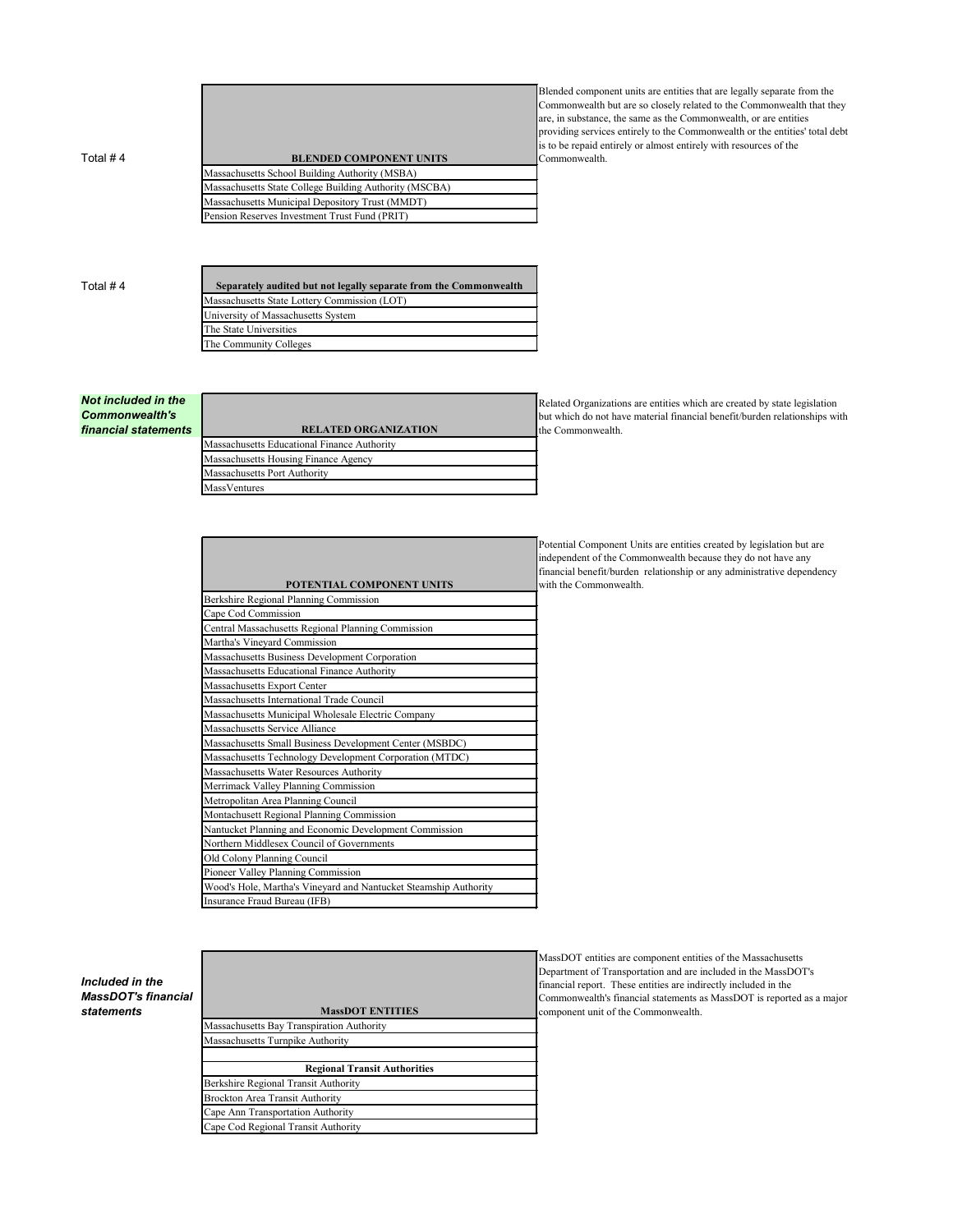Total # 4 **BLENDED COMPONENT UNITS** Massachusetts School Building Authority (MSBA) Massachusetts State College Building Authority (MSCBA) Massachusetts Municipal Depository Trust (MMDT) Pension Reserves Investment Trust Fund (PRIT)

Blended component units are entities that are legally separate from the Commonwealth but are so closely related to the Commonwealth that they are, in substance, the same as the Commonwealth, or are entities providing services entirely to the Commonwealth or the entities' total debt is to be repaid entirely or almost entirely with resources of the Commonwealth.

| Total # 4 | Separately audited but not legally separate from the Commonwealth |  |
|-----------|-------------------------------------------------------------------|--|
|           | Massachusetts State Lottery Commission (LOT)                      |  |
|           | University of Massachusetts System                                |  |
|           | The State Universities                                            |  |
|           | The Community Colleges                                            |  |

*Not included in the Commonwealth's*   $f$ *inancial statements* 

| <b>RELATED ORGANIZATION</b>                 |
|---------------------------------------------|
| Massachusetts Educational Finance Authority |
| Massachusetts Housing Finance Agency        |
| Massachusetts Port Authority                |
| MassVentures                                |
|                                             |

| POTENTIAL COMPONENT UNITS                                        |
|------------------------------------------------------------------|
| Berkshire Regional Planning Commission                           |
| Cape Cod Commission                                              |
| Central Massachusetts Regional Planning Commission               |
| Martha's Vineyard Commission                                     |
| Massachusetts Business Development Corporation                   |
| Massachusetts Educational Finance Authority                      |
| Massachusetts Export Center                                      |
| Massachusetts International Trade Council                        |
| Massachusetts Municipal Wholesale Electric Company               |
| Massachusetts Service Alliance                                   |
| Massachusetts Small Business Development Center (MSBDC)          |
| Massachusetts Technology Development Corporation (MTDC)          |
| Massachusetts Water Resources Authority                          |
| Merrimack Valley Planning Commission                             |
| Metropolitan Area Planning Council                               |
| Montachusett Regional Planning Commission                        |
| Nantucket Planning and Economic Development Commission           |
| Northern Middlesex Council of Governments                        |
| Old Colony Planning Council                                      |
| Pioneer Valley Planning Commission                               |
| Wood's Hole, Martha's Vineyard and Nantucket Steamship Authority |
| Insurance Fraud Bureau (IFB)                                     |

but which do not have material financial benefit/burden relationships with the Commonwealth.

Related Organizations are entities which are created by state legislation

Potential Component Units are entities created by legislation but are independent of the Commonwealth because they do not have any financial benefit/burden relationship or any administrative dependency with the Commonwealth.

*Included in the MassDOT's financial*   $statements$ 

| <b>MassDOT ENTITIES</b>                          |  |  |  |
|--------------------------------------------------|--|--|--|
| <b>Massachusetts Bay Transpiration Authority</b> |  |  |  |
| Massachusetts Turnpike Authority                 |  |  |  |
|                                                  |  |  |  |
| <b>Regional Transit Authorities</b>              |  |  |  |
| Berkshire Regional Transit Authority             |  |  |  |
| <b>Brockton Area Transit Authority</b>           |  |  |  |
| Cape Ann Transportation Authority                |  |  |  |
| Cape Cod Regional Transit Authority              |  |  |  |
|                                                  |  |  |  |

MassDOT entities are component entities of the Massachusetts Department of Transportation and are included in the MassDOT's financial report. These entities are indirectly included in the Commonwealth's financial statements as MassDOT is reported as a major component unit of the Commonwealth.